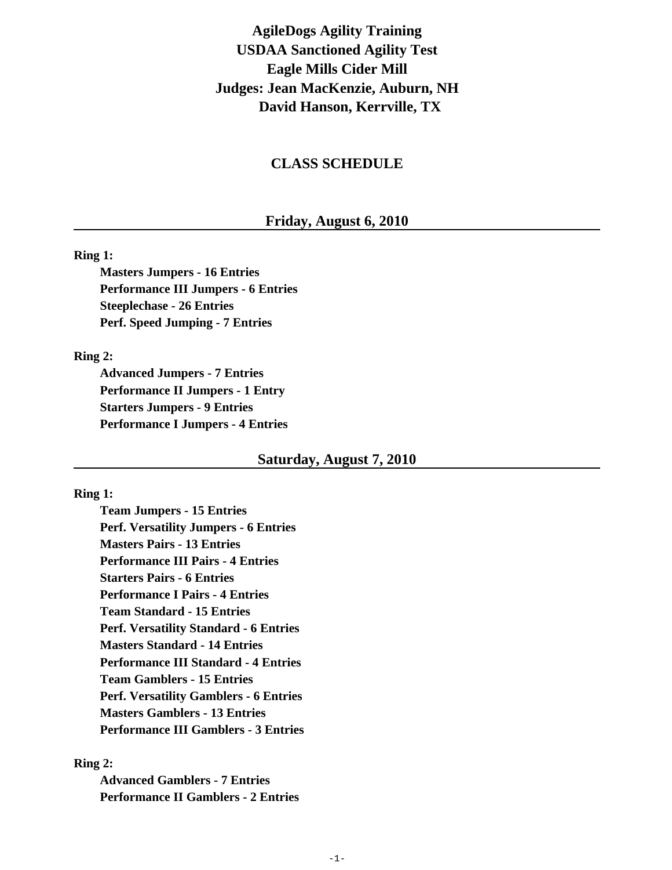# **AgileDogs Agility Training USDAA Sanctioned Agility Test Eagle Mills Cider Mill Judges: Jean MacKenzie, Auburn, NH David Hanson, Kerrville, TX**

# **CLASS SCHEDULE**

# **Friday, August 6, 2010**

### **Ring 1:**

**Masters Jumpers - 16 Entries Performance III Jumpers - 6 Entries Steeplechase - 26 Entries Perf. Speed Jumping - 7 Entries**

### **Ring 2:**

**Advanced Jumpers - 7 Entries Performance II Jumpers - 1 Entry Starters Jumpers - 9 Entries Performance I Jumpers - 4 Entries**

### **Saturday, August 7, 2010**

### **Ring 1:**

**Team Jumpers - 15 Entries Perf. Versatility Jumpers - 6 Entries Masters Pairs - 13 Entries Performance III Pairs - 4 Entries Starters Pairs - 6 Entries Performance I Pairs - 4 Entries Team Standard - 15 Entries Perf. Versatility Standard - 6 Entries Masters Standard - 14 Entries Performance III Standard - 4 Entries Team Gamblers - 15 Entries Perf. Versatility Gamblers - 6 Entries Masters Gamblers - 13 Entries Performance III Gamblers - 3 Entries**

### **Ring 2:**

**Advanced Gamblers - 7 Entries Performance II Gamblers - 2 Entries**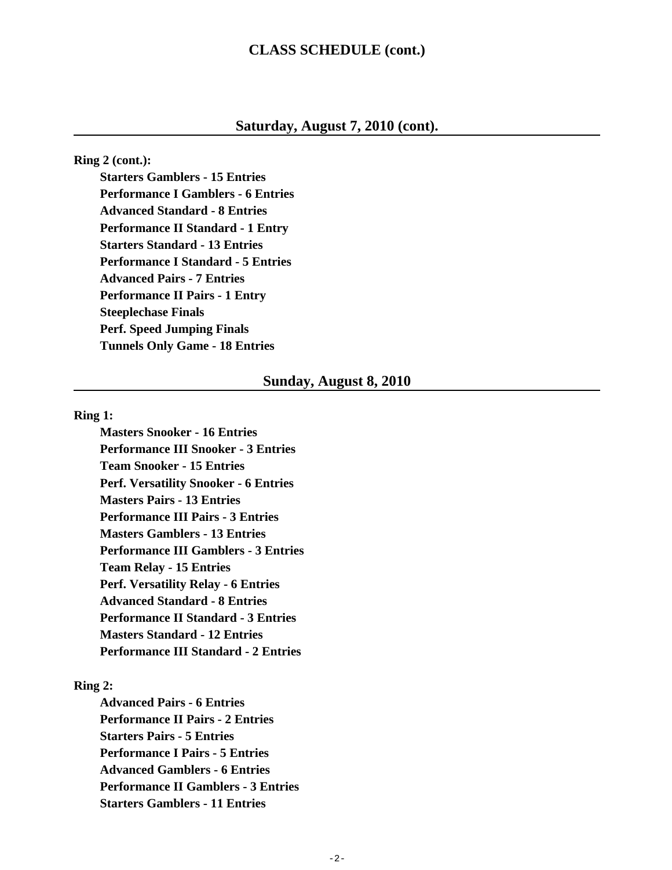# **CLASS SCHEDULE (cont.)**

# **Saturday, August 7, 2010 (cont).**

**Ring 2 (cont.):**

**Starters Gamblers - 15 Entries Performance I Gamblers - 6 Entries Advanced Standard - 8 Entries Performance II Standard - 1 Entry Starters Standard - 13 Entries Performance I Standard - 5 Entries Advanced Pairs - 7 Entries Performance II Pairs - 1 Entry Steeplechase Finals Perf. Speed Jumping Finals Tunnels Only Game - 18 Entries**

### **Sunday, August 8, 2010**

#### **Ring 1:**

**Masters Snooker - 16 Entries Performance III Snooker - 3 Entries Team Snooker - 15 Entries Perf. Versatility Snooker - 6 Entries Masters Pairs - 13 Entries Performance III Pairs - 3 Entries Masters Gamblers - 13 Entries Performance III Gamblers - 3 Entries Team Relay - 15 Entries Perf. Versatility Relay - 6 Entries Advanced Standard - 8 Entries Performance II Standard - 3 Entries Masters Standard - 12 Entries Performance III Standard - 2 Entries**

### **Ring 2:**

**Advanced Pairs - 6 Entries Performance II Pairs - 2 Entries Starters Pairs - 5 Entries Performance I Pairs - 5 Entries Advanced Gamblers - 6 Entries Performance II Gamblers - 3 Entries Starters Gamblers - 11 Entries**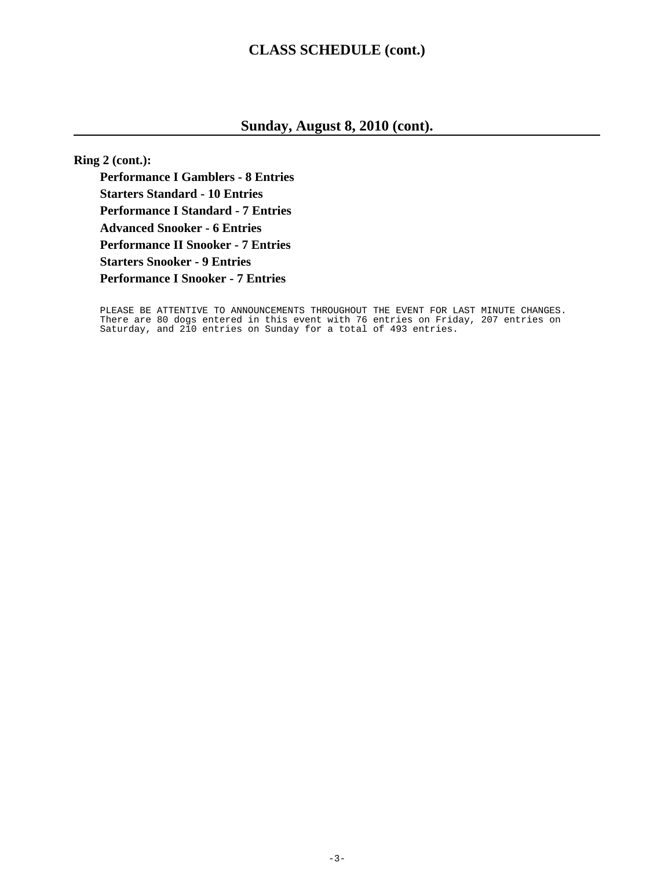# **CLASS SCHEDULE (cont.)**

# **Sunday, August 8, 2010 (cont).**

**Ring 2 (cont.):**

**Performance I Gamblers - 8 Entries Starters Standard - 10 Entries Performance I Standard - 7 Entries Advanced Snooker - 6 Entries Performance II Snooker - 7 Entries Starters Snooker - 9 Entries Performance I Snooker - 7 Entries**

PLEASE BE ATTENTIVE TO ANNOUNCEMENTS THROUGHOUT THE EVENT FOR LAST MINUTE CHANGES. There are 80 dogs entered in this event with 76 entries on Friday, 207 entries on Saturday, and 210 entries on Sunday for a total of 493 entries.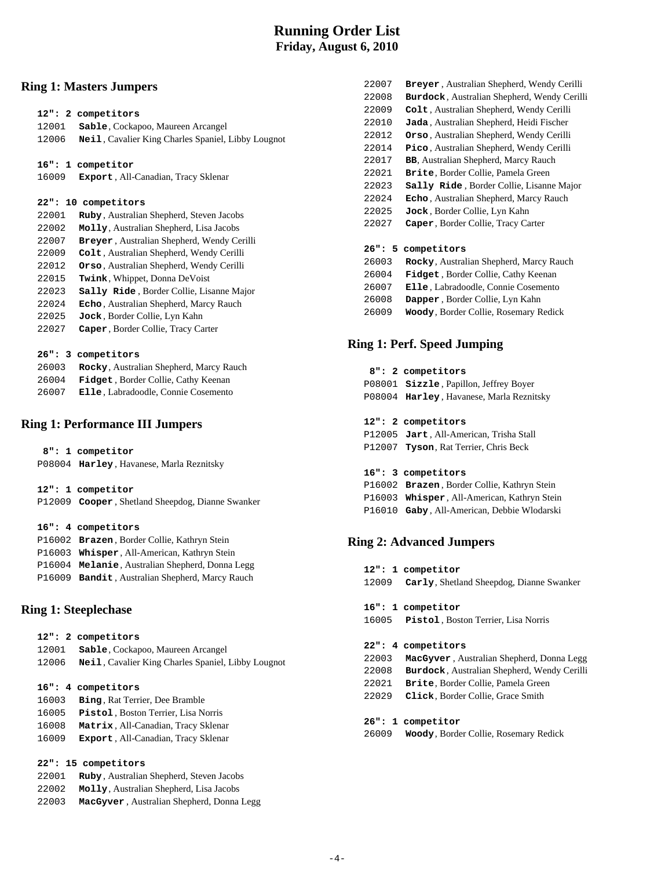# **Running Order List Friday, August 6, 2010**

### **Ring 1: Masters Jumpers**

|        | 12": 2 competitors                                         |
|--------|------------------------------------------------------------|
| 12001  | Sable, Cockapoo, Maureen Arcangel                          |
| 12006  | <b>Neil</b> , Cavalier King Charles Spaniel, Libby Lougnot |
|        |                                                            |
|        | 16": 1 competitor                                          |
| 16009  | Export, All-Canadian, Tracy Sklenar                        |
|        |                                                            |
|        | 22": 10 competitors                                        |
| 22001  | Ruby, Australian Shepherd, Steven Jacobs                   |
| 22002  | Molly, Australian Shepherd, Lisa Jacobs                    |
| 22007  | Breyer, Australian Shepherd, Wendy Cerilli                 |
| 22009  | Colt, Australian Shepherd, Wendy Cerilli                   |
| 22012  | Orso, Australian Shepherd, Wendy Cerilli                   |
| 22015  | Twink, Whippet, Donna DeVoist                              |
| 22023  | Sally Ride, Border Collie, Lisanne Major                   |
| 22024  | Echo, Australian Shepherd, Marcy Rauch                     |
| 22025  | Jock, Border Collie, Lyn Kahn                              |
| 22027  | Caper, Border Collie, Tracy Carter                         |
|        |                                                            |
|        | 26": 3 competitors                                         |
| 26003  | Rocky, Australian Shepherd, Marcy Rauch                    |
| 0.0001 | $-1.1 - 1.1 - 0.4 - 0.11$ , $-0.4 - 1.7 - 0.4$             |

| 26004 | <b>Fidget, Border Collie, Cathy Keenan</b> |
|-------|--------------------------------------------|
| 26007 | Elle, Labradoodle, Connie Cosemento        |

### **Ring 1: Performance III Jumpers**

| 8": 1 competitor                         |
|------------------------------------------|
| P08004 Harley, Havanese, Marla Reznitsky |

| 12": 1 competitor                                |
|--------------------------------------------------|
| P12009 Cooper, Shetland Sheepdog, Dianne Swanker |

#### **16": 4 competitors**

|  | P16002 Brazen, Border Collie, Kathryn Stein     |
|--|-------------------------------------------------|
|  | P16003 Whisper, All-American, Kathryn Stein     |
|  | P16004 Melanie, Australian Shepherd, Donna Legg |
|  | P16009 Bandit, Australian Shepherd, Marcy Rauch |

### **Ring 1: Steeplechase**

| 12001<br>12006 | 12": 2 competitors<br>Sable, Cockapoo, Maureen Arcangel<br>Neil, Cavalier King Charles Spaniel, Libby Lougnot |
|----------------|---------------------------------------------------------------------------------------------------------------|
|                |                                                                                                               |
|                | 16": 4 competitors                                                                                            |
| 16003          | <b>Bing, Rat Terrier, Dee Bramble</b>                                                                         |
| 16005          | Pistol, Boston Terrier, Lisa Norris                                                                           |
| 16008          | Matrix, All-Canadian, Tracy Sklenar                                                                           |
| 16009          | <b>Export</b> , All-Canadian, Tracy Sklenar                                                                   |

#### **22": 15 competitors**

| 22001 | Ruby, Australian Shepherd, Steven Jacobs  |  |
|-------|-------------------------------------------|--|
| 22002 | Molly, Australian Shepherd, Lisa Jacobs   |  |
| 22003 | MacGyver, Australian Shepherd, Donna Legg |  |

| 22008 | Burdock, Australian Shepherd, Wendy Cerilli      |
|-------|--------------------------------------------------|
| 22009 | Colt, Australian Shepherd, Wendy Cerilli         |
| 22010 | Jada, Australian Shepherd, Heidi Fischer         |
| 22012 | Orso, Australian Shepherd, Wendy Cerilli         |
| 22014 | Pico, Australian Shepherd, Wendy Cerilli         |
| 22017 | <b>BB, Australian Shepherd, Marcy Rauch</b>      |
| 22021 | <b>Brite, Border Collie, Pamela Green</b>        |
| 22023 | <b>Sally Ride</b> , Border Collie, Lisanne Major |
| 22024 | Echo, Australian Shepherd, Marcy Rauch           |
| 22025 | Jock, Border Collie, Lyn Kahn                    |
| 22027 | Caper, Border Collie, Tracy Carter               |
|       |                                                  |
|       | 26": 5 competitors                               |
| 26003 | Rocky, Australian Shepherd, Marcy Rauch          |
| 26004 | <b>Fidget</b> , Border Collie, Cathy Keenan      |
| 26007 | <b>Elle</b> , Labradoodle, Connie Cosemento      |
| 26008 | <b>Dapper</b> , Border Collie, Lyn Kahn          |
| 26009 | Woody, Border Collie, Rosemary Redick            |
|       |                                                  |

22007 **Breyer** , Australian Shepherd, Wendy Cerilli

### **Ring 1: Perf. Speed Jumping**

| 8": 2 competitors<br>P08001 <b>Sizzle</b> , Papillon, Jeffrey Boyer<br>P08004 Harley, Havanese, Marla Reznitsky                                                 |
|-----------------------------------------------------------------------------------------------------------------------------------------------------------------|
| 12": 2 competitors<br>P12005 Jart, All-American, Trisha Stall<br>P12007 <b>Tyson</b> , Rat Terrier, Chris Beck                                                  |
| 16": 3 competitors<br>P16002 Brazen, Border Collie, Kathryn Stein<br>P16003 Whisper, All-American, Kathryn Stein<br>P16010 Gaby, All-American, Debbie Wlodarski |

### **Ring 2: Advanced Jumpers**

| 12": 1 competitor                              |
|------------------------------------------------|
| 12009 Carly, Shetland Sheepdog, Dianne Swanker |
|                                                |
|                                                |
| 16": 1 competitor                              |
| 16005 Pistol, Boston Terrier, Lisa Norris      |

#### **22": 4 competitors**

- 22003 **MacGyver** , Australian Shepherd, Donna Legg
- 22008 **Burdock**, Australian Shepherd, Wendy Cerilli
- 22021 **Brite**, Border Collie, Pamela Green
- 22029 **Click**, Border Collie, Grace Smith

#### **26": 1 competitor**

26009 **Woody**, Border Collie, Rosemary Redick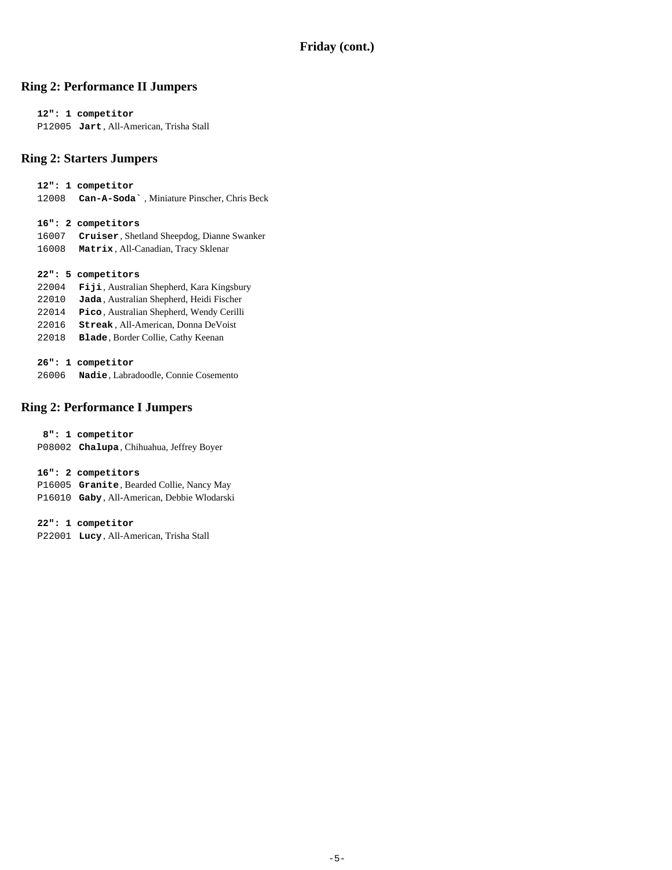### **Ring 2: Performance II Jumpers**

 **12": 1 competitor** P12005 **Jart** , All-American, Trisha Stall

### **Ring 2: Starters Jumpers**

 **12": 1 competitor** 12008 **Can-A-Soda`** , Miniature Pinscher, Chris Beck

 **16": 2 competitors**

- 16007 **Cruiser**, Shetland Sheepdog, Dianne Swanker
- 16008 **Matrix** , All-Canadian, Tracy Sklenar

 **22": 5 competitors**

- 22004 **Fiji** , Australian Shepherd, Kara Kingsbury
- 22010 **Jada** , Australian Shepherd, Heidi Fischer
- 22014 **Pico** , Australian Shepherd, Wendy Cerilli
- 22016 **Streak** , All-American, Donna DeVoist
- 22018 **Blade**, Border Collie, Cathy Keenan

 **26": 1 competitor**

26006 **Nadie**, Labradoodle, Connie Cosemento

### **Ring 2: Performance I Jumpers**

 **8": 1 competitor**

P08002 **Chalupa**, Chihuahua, Jeffrey Boyer

 **16": 2 competitors**

P16005 **Granite**, Bearded Collie, Nancy May

P16010 **Gaby** , All-American, Debbie Wlodarski

 **22": 1 competitor**

P22001 **Lucy** , All-American, Trisha Stall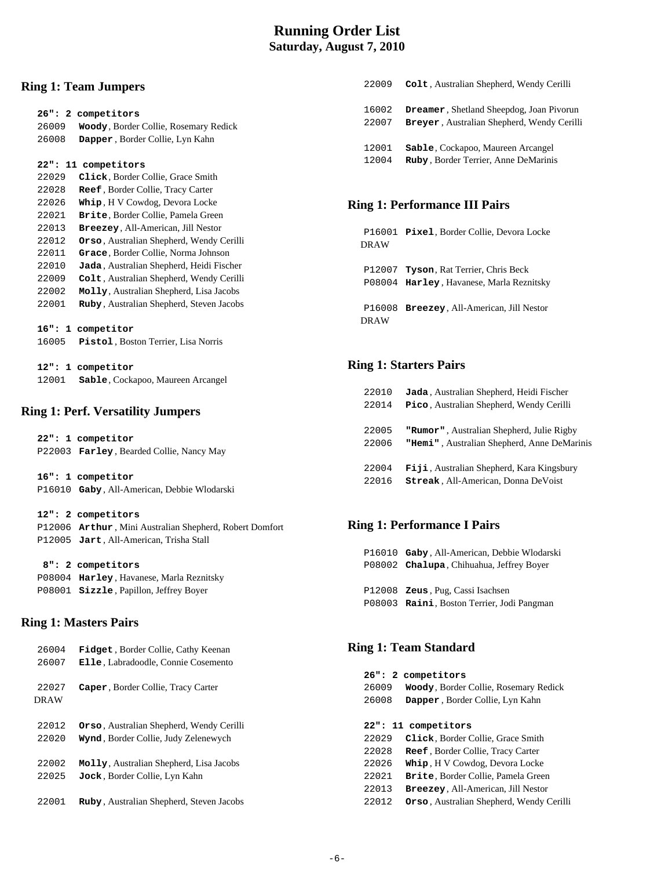# **Running Order List Saturday, August 7, 2010**

### **Ring 1: Team Jumpers**

|       | 26": 2 competitors                          | 16002        |
|-------|---------------------------------------------|--------------|
| 26009 | Woody, Border Collie, Rosemary Redick       | 22007        |
| 26008 | Dapper, Border Collie, Lyn Kahn             |              |
|       |                                             | 12001        |
|       | 22": 11 competitors                         | 12004        |
| 22029 | Click, Border Collie, Grace Smith           |              |
| 22028 | Reef, Border Collie, Tracy Carter           |              |
| 22026 | Whip, H V Cowdog, Devora Locke              | Ring 1:      |
| 22021 | Brite, Border Collie, Pamela Green          |              |
| 22013 | Breezey, All-American, Jill Nestor          |              |
| 22012 | Orso, Australian Shepherd, Wendy Cerilli    | P1600        |
| 22011 | Grace, Border Collie, Norma Johnson         | <b>DRAW</b>  |
| 22010 | Jada, Australian Shepherd, Heidi Fischer    |              |
| 22009 | Colt, Australian Shepherd, Wendy Cerilli    | <b>P1200</b> |
| 22002 | Molly, Australian Shepherd, Lisa Jacobs     | P0800        |
| 22001 | Ruby, Australian Shepherd, Steven Jacobs    |              |
|       |                                             | P1600        |
|       | 16": 1 competitor                           | <b>DRAW</b>  |
| 16005 | Pistol, Boston Terrier, Lisa Norris         |              |
|       |                                             |              |
|       | 12": 1 competitor                           | Ring 1:      |
| 12001 | Sable, Cockapoo, Maureen Arcangel           |              |
|       |                                             | 22010        |
|       |                                             | 22014        |
|       | <b>Ring 1: Perf. Versatility Jumpers</b>    |              |
|       |                                             | 22005        |
|       | 22": 1 competitor                           | 22006        |
|       | P22003 Farley, Bearded Collie, Nancy May    |              |
|       |                                             | 22004        |
|       | 16": 1 competitor                           | 22016        |
|       | P16010 Gaby, All-American, Debbie Wlodarski |              |
|       |                                             |              |
|       | 12": 2 competitors                          |              |

#### P12006 **Arthur** , Mini Australian Shepherd, Robert Domfort P12005 **Jart** , All-American, Trisha Stall

#### **8": 2 competitors**

 P08004 **Harley** , Havanese, Marla Reznitsky P08001 **Sizzle** , Papillon, Jeffrey Boyer

### **Ring 1: Masters Pairs**

| 26004                | <b>Fidget</b> , Border Collie, Cathy Keenan      |  |
|----------------------|--------------------------------------------------|--|
| 26007                | Elle, Labradoodle, Connie Cosemento              |  |
| 22027<br><b>DRAW</b> | Caper, Border Collie, Tracy Carter               |  |
| 22012                | <b>Orso</b> , Australian Shepherd, Wendy Cerilli |  |
| 22020                | Wynd, Border Collie, Judy Zelenewych             |  |
| 22002                | Molly, Australian Shepherd, Lisa Jacobs          |  |
| 22025                | Jock, Border Collie, Lyn Kahn                    |  |
| 22001                | <b>Ruby</b> , Australian Shepherd, Steven Jacobs |  |

| 22009 | Colt, Australian Shepherd, Wendy Cerilli        |
|-------|-------------------------------------------------|
| 16002 | <b>Dreamer, Shetland Sheepdog, Joan Pivorun</b> |
| 22007 | Breyer, Australian Shepherd, Wendy Cerilli      |
| 12001 | <b>Sable</b> , Cockapoo, Maureen Arcangel       |
| 12004 | Ruby, Border Terrier, Anne DeMarinis            |

### **Performance III Pairs**

01 **Pixel**, Border Collie, Devora Locke

07 **Tyson**, Rat Terrier, Chris Beck 04 **Harley**, Havanese, Marla Reznitsky

08 **Breezey**, All-American, Jill Nestor

### **Starters Pairs**

| 22010 | Jada, Australian Shepherd, Heidi Fischer    |
|-------|---------------------------------------------|
| 22014 | Pico, Australian Shepherd, Wendy Cerilli    |
|       |                                             |
| 22005 | "Rumor", Australian Shepherd, Julie Rigby   |
| 22006 | "Hemi", Australian Shepherd, Anne DeMarinis |
|       |                                             |
| 22004 | Fiji, Australian Shepherd, Kara Kingsbury   |
| 22016 | <b>Streak, All-American, Donna DeVoist</b>  |
|       |                                             |

### **Ring 1: Performance I Pairs**

 P16010 **Gaby** , All-American, Debbie Wlodarski P08002 **Chalupa**, Chihuahua, Jeffrey Boyer P12008 **Zeus** , Pug, Cassi Isachsen P08003 **Raini**, Boston Terrier, Jodi Pangman

### **Ring 1: Team Standard**

|       | 26": 2 competitors                               |
|-------|--------------------------------------------------|
| 26009 | Woody, Border Collie, Rosemary Redick            |
| 26008 | Dapper, Border Collie, Lyn Kahn                  |
|       |                                                  |
|       | 22": 11 competitors                              |
| 22029 | Click, Border Collie, Grace Smith                |
| 22028 | <b>Reef</b> , Border Collie, Tracy Carter        |
| 22026 | <b>Whip, HV</b> Cowdog, Devora Locke             |
| 22021 | <b>Brite, Border Collie, Pamela Green</b>        |
| 22013 | <b>Breezey, All-American, Jill Nestor</b>        |
| 22012 | <b>Orso</b> , Australian Shepherd, Wendy Cerilli |
|       |                                                  |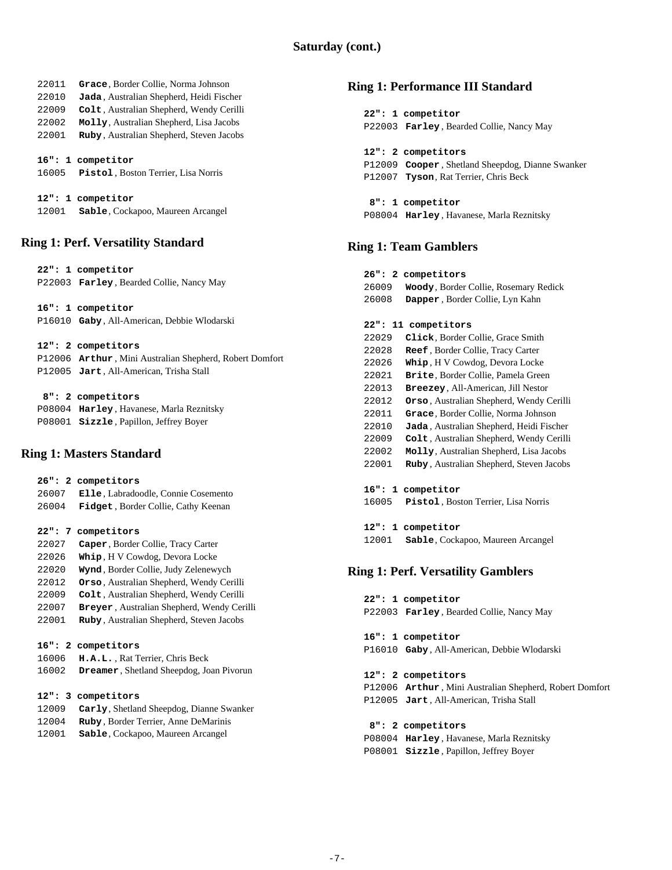| 22011 | Grace, Border Collie, Norma Johnson              |
|-------|--------------------------------------------------|
| 22010 | <b>Jada</b> , Australian Shepherd, Heidi Fischer |
| 22009 | Colt, Australian Shepherd, Wendy Cerilli         |
| 22002 | Molly, Australian Shepherd, Lisa Jacobs          |
| 22001 | Ruby, Australian Shepherd, Steven Jacobs         |
|       |                                                  |
|       | 16": 1 competitor                                |
| 16005 | <b>Pistol</b> , Boston Terrier, Lisa Norris      |
|       |                                                  |
|       | 12": 1 competitor                                |

12001 **Sable**, Cockapoo, Maureen Arcangel

# **Ring 1: Perf. Versatility Standard**

|       | 22": 1 competitor                                       |
|-------|---------------------------------------------------------|
|       | P22003 Farley, Bearded Collie, Nancy May                |
|       |                                                         |
|       | 16": 1 competitor                                       |
|       | P16010 Gaby, All-American, Debbie Wlodarski             |
|       | 12": 2 competitors                                      |
|       | P12006 Arthur, Mini Australian Shepherd, Robert Domfort |
|       | P12005 Jart, All-American, Trisha Stall                 |
|       | 8": 2 competitors                                       |
|       | P08004 Harley, Havanese, Marla Reznitsky                |
|       |                                                         |
|       | P08001 Sizzle, Papillon, Jeffrey Boyer                  |
|       | <b>Ring 1: Masters Standard</b>                         |
|       |                                                         |
|       | 26": 2 competitors                                      |
| 26007 | Elle, Labradoodle, Connie Cosemento                     |
| 26004 | Fidget, Border Collie, Cathy Keenan                     |
|       | 22": 7 competitors                                      |
| 22027 | Caper, Border Collie, Tracy Carter                      |
| 22026 | Whip, H V Cowdog, Devora Locke                          |
| 22020 | Wynd, Border Collie, Judy Zelenewych                    |
| 22012 | Orso, Australian Shepherd, Wendy Cerilli                |
| 22009 | Colt, Australian Shepherd, Wendy Cerilli                |
| 22007 | Breyer, Australian Shepherd, Wendy Cerilli              |
| 22001 | Ruby, Australian Shepherd, Steven Jacobs                |
|       | 16": 2 competitors                                      |
| 16006 | H.A.L., Rat Terrier, Chris Beck                         |
|       |                                                         |
| 16002 | Dreamer, Shetland Sheepdog, Joan Pivorun                |
|       | 12": 3 competitors                                      |
| 12009 | Carly, Shetland Sheepdog, Dianne Swanker                |
| 12004 | Ruby, Border Terrier, Anne DeMarinis                    |

12001 **Sable**, Cockapoo, Maureen Arcangel

# **Ring 1: Performance III Standard**

| 22": 1 competitor                                |
|--------------------------------------------------|
| P22003 Farley, Bearded Collie, Nancy May         |
|                                                  |
| 12": 2 competitors                               |
| P12009 Cooper, Shetland Sheepdog, Dianne Swanker |
| P12007 Tyson, Rat Terrier, Chris Beck            |
|                                                  |
| 8": 1 competitor                                 |
| P08004 Harley, Havanese, Marla Reznitsky         |

### **Ring 1: Team Gamblers**

| 26":<br>2 | competitors                                      |
|-----------|--------------------------------------------------|
| 26009     | Woody, Border Collie, Rosemary Redick            |
| 26008     | Dapper, Border Collie, Lyn Kahn                  |
|           |                                                  |
| $22$ ":   | 11 competitors                                   |
| 22029     | Click, Border Collie, Grace Smith                |
| 22028     | <b>Reef</b> , Border Collie, Tracy Carter        |
| 22026     | <b>Whip, H V Cowdog, Devora Locke</b>            |
| 22021     | <b>Brite, Border Collie, Pamela Green</b>        |
| 22013     | <b>Breezey, All-American, Jill Nestor</b>        |
| 22012     | <b>Orso</b> , Australian Shepherd, Wendy Cerilli |
| 22011     | Grace, Border Collie, Norma Johnson              |
| 22010     | Jada, Australian Shepherd, Heidi Fischer         |
| 22009     | Colt, Australian Shepherd, Wendy Cerilli         |
| 22002     | Molly, Australian Shepherd, Lisa Jacobs          |
| 22001     | Ruby, Australian Shepherd, Steven Jacobs         |
|           |                                                  |
| 16":<br>1 | competitor                                       |
| 16005     | <b>Pistol</b> , Boston Terrier, Lisa Norris      |

 **12": 1 competitor** 12001 **Sable**, Cockapoo, Maureen Arcangel

### **Ring 1: Perf. Versatility Gamblers**

|  | 22": 1 competitor<br>P22003 Farley, Bearded Collie, Nancy May                                           |
|--|---------------------------------------------------------------------------------------------------------|
|  | 16": 1 competitor<br>P16010 Gaby, All-American, Debbie Wlodarski                                        |
|  | 12": 2 competitors                                                                                      |
|  | P12006 Arthur, Mini Australian Shepherd, Robert Domfort<br>P12005 Jart, All-American, Trisha Stall      |
|  | 8": 2 competitors<br>P08004 Harley, Havanese, Marla Reznitsky<br>P08001 Sizzle, Papillon, Jeffrey Boyer |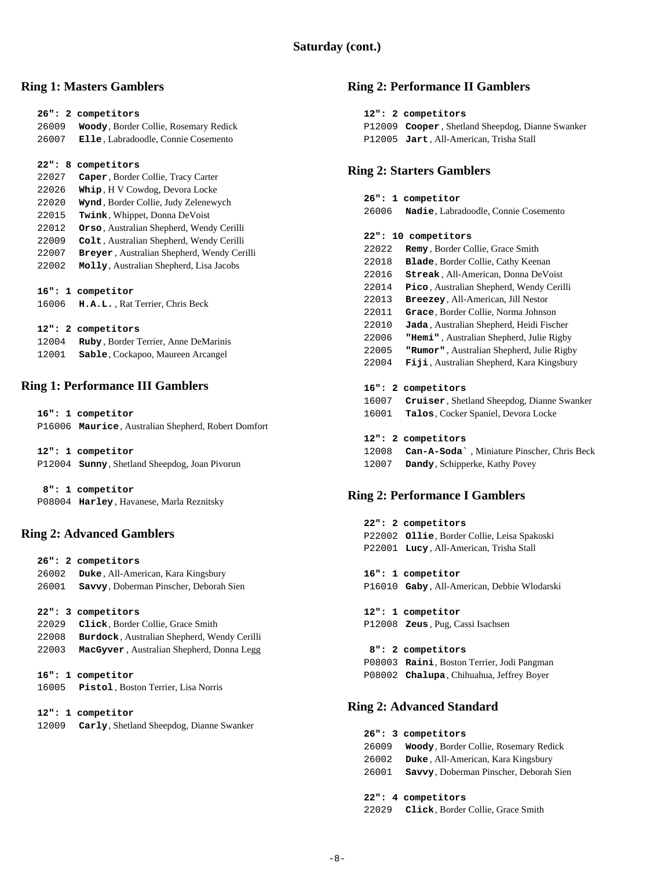### **Ring 1: Masters Gamblers**

|        | 26": 2 competitors                                |
|--------|---------------------------------------------------|
| 26009  | Woody, Border Collie, Rosemary Redick             |
| 26007  | Elle, Labradoodle, Connie Cosemento               |
|        |                                                   |
| 22": 8 | competitors                                       |
| 22027  | Caper, Border Collie, Tracy Carter                |
| 22026  | Whip, H V Cowdog, Devora Locke                    |
| 22020  | Wynd, Border Collie, Judy Zelenewych              |
| 22015  | Twink, Whippet, Donna DeVoist                     |
| 22012  | Orso, Australian Shepherd, Wendy Cerilli          |
| 22009  | Colt, Australian Shepherd, Wendy Cerilli          |
| 22007  | Breyer, Australian Shepherd, Wendy Cerilli        |
| 22002  | Molly, Australian Shepherd, Lisa Jacobs           |
|        |                                                   |
|        | 16": 1 competitor                                 |
| 16006  | H.A.L., Rat Terrier, Chris Beck                   |
|        |                                                   |
|        | 12": 2 competitors                                |
|        | 1.3004 <b>Pulse Dordor Torrior</b> Anno DoMorinio |

| 12004 | Ruby, Border Terrier, Anne DeMarinis |
|-------|--------------------------------------|
| 12001 | Sable, Cockapoo, Maureen Arcangel    |

### **Ring 1: Performance III Gamblers**

| 16": 1 competitor                                     |
|-------------------------------------------------------|
| P16006 Maurice, Australian Shepherd, Robert Domfort   |
|                                                       |
| 12": 1 competitor                                     |
| P12004 <b>Sunny</b> , Shetland Sheepdog, Joan Pivorun |
|                                                       |
| 8": 1 competitor                                      |

P08004 **Harley** , Havanese, Marla Reznitsky

### **Ring 2: Advanced Gamblers**

|       | 26": 2 competitors                                  |
|-------|-----------------------------------------------------|
| 26002 | <b>Duke</b> , All-American, Kara Kingsbury          |
| 26001 | Savvy, Doberman Pinscher, Deborah Sien              |
|       |                                                     |
|       | 22": 3 competitors                                  |
| 22029 | Click, Border Collie, Grace Smith                   |
| 22008 | <b>Burdock</b> , Australian Shepherd, Wendy Cerilli |
| 22003 | MacGyver, Australian Shepherd, Donna Legg           |
|       |                                                     |
|       | 16": 1 competitor                                   |
| 16005 | Pistol, Boston Terrier, Lisa Norris                 |
|       |                                                     |
|       | 12": 1 competitor                                   |
| 12009 | Carly, Shetland Sheepdog, Dianne Swanker            |

### **Ring 2: Performance II Gamblers**

| 12": 2 competitors                               |
|--------------------------------------------------|
| P12009 Cooper, Shetland Sheepdog, Dianne Swanker |
| P12005 Jart, All-American, Trisha Stall          |

### **Ring 2: Starters Gamblers**

|       | 26": 1 competitor                    |
|-------|--------------------------------------|
| 26006 | Nadie, Labradoodle, Connie Cosemento |

#### **22": 10 competitors**

| 22022 | <b>Remy</b> , Border Collie, Grace Smith   |
|-------|--------------------------------------------|
| 22018 | <b>Blade</b> , Border Collie, Cathy Keenan |
| 22016 | <b>Streak, All-American, Donna DeVoist</b> |
| 22014 | Pico, Australian Shepherd, Wendy Cerilli   |
| 22013 | Breezey, All-American, Jill Nestor         |
| 22011 | Grace, Border Collie, Norma Johnson        |
| 22010 | Jada, Australian Shepherd, Heidi Fischer   |
| 22006 | "Hemi", Australian Shepherd, Julie Rigby   |
| 22005 | "Rumor", Australian Shepherd, Julie Rigby  |
| 22004 | Fiji, Australian Shepherd, Kara Kingsbury  |
|       |                                            |
|       | 16": 2 competitors                         |
| 16007 | Cruiser, Shetland Sheepdog, Dianne Swanker |
| 16001 | <b>Talos, Cocker Spaniel, Devora Locke</b> |
|       |                                            |

#### **12": 2 competitors**

- 12008 **Can-A-Soda`** , Miniature Pinscher, Chris Beck
- 12007 **Dandy**, Schipperke, Kathy Povey

### **Ring 2: Performance I Gamblers**

 **22": 2 competitors** P22002 **Ollie**, Border Collie, Leisa Spakoski P22001 **Lucy** , All-American, Trisha Stall

 **16": 1 competitor**

P16010 **Gaby** , All-American, Debbie Wlodarski

 **12": 1 competitor** P12008 **Zeus** , Pug, Cassi Isachsen

 **8": 2 competitors** P08003 **Raini**, Boston Terrier, Jodi Pangman P08002 **Chalupa**, Chihuahua, Jeffrey Boyer

### **Ring 2: Advanced Standard**

|       | 26": 3 competitors                            |
|-------|-----------------------------------------------|
| 26009 | Woody, Border Collie, Rosemary Redick         |
| 26002 | Duke, All-American, Kara Kingsbury            |
| 26001 | <b>Savvy, Doberman Pinscher, Deborah Sien</b> |
|       |                                               |
|       | 22": 4 competitors                            |

22029 **Click**, Border Collie, Grace Smith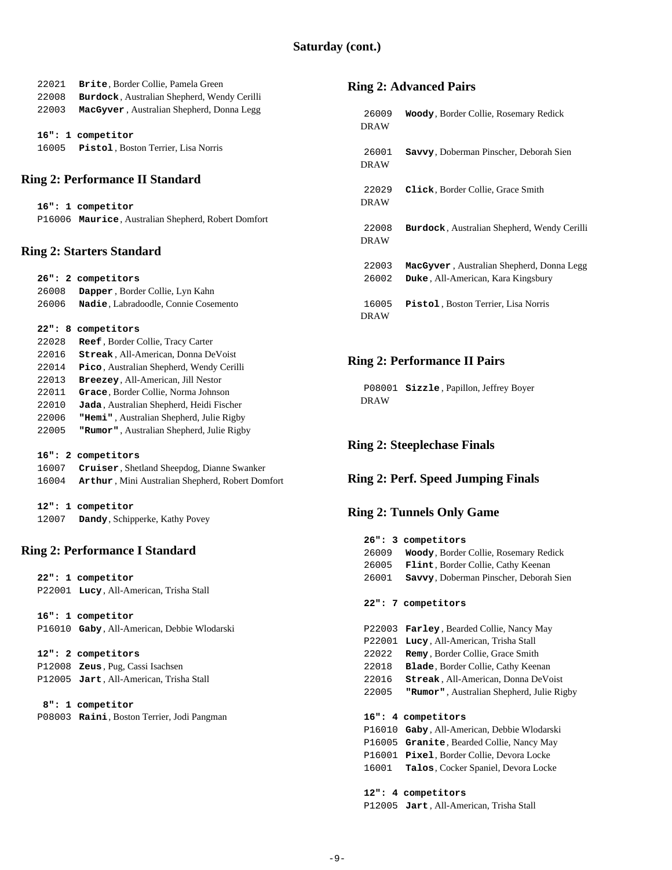| 22021<br>22008 | Brite, Border Collie, Pamela Green<br>Burdock, Australian Shepherd, Wendy Cerilli | <b>Ring 2: Advance</b>   |                  |
|----------------|-----------------------------------------------------------------------------------|--------------------------|------------------|
| 22003          | MacGyver, Australian Shepherd, Donna Legg                                         | 26009                    |                  |
|                |                                                                                   | <b>DRAW</b>              | Woody,           |
|                | 16": 1 competitor                                                                 |                          |                  |
| 16005          | Pistol, Boston Terrier, Lisa Norris                                               | 26001                    | Savvy,           |
|                |                                                                                   | <b>DRAW</b>              |                  |
|                | <b>Ring 2: Performance II Standard</b>                                            |                          |                  |
|                |                                                                                   | 22029                    | Click,           |
|                | 16": 1 competitor                                                                 | <b>DRAW</b>              |                  |
|                | P16006 Maurice, Australian Shepherd, Robert Domfort                               |                          |                  |
|                |                                                                                   | 22008                    | Burdoo           |
|                | <b>Ring 2: Starters Standard</b>                                                  | <b>DRAW</b>              |                  |
|                |                                                                                   | 22003                    | MacGy            |
|                | 26": 2 competitors                                                                | 26002                    | Duke, $\lambda$  |
| 26008          | Dapper, Border Collie, Lyn Kahn                                                   |                          |                  |
| 26006          | Nadie, Labradoodle, Connie Cosemento                                              | 16005                    | Pistol           |
|                |                                                                                   | <b>DRAW</b>              |                  |
|                | 22": 8 competitors                                                                |                          |                  |
| 22028          | Reef, Border Collie, Tracy Carter                                                 |                          |                  |
| 22016          | Streak, All-American, Donna DeVoist                                               | <b>Ring 2: Perform</b>   |                  |
| 22014          | Pico, Australian Shepherd, Wendy Cerilli                                          |                          |                  |
| 22013          | Breezey, All-American, Jill Nestor                                                |                          | $P08001$ Sizzle  |
| 22011<br>22010 | Grace, Border Collie, Norma Johnson<br>Jada, Australian Shepherd, Heidi Fischer   | <b>DRAW</b>              |                  |
| 22006          | "Hemi", Australian Shepherd, Julie Rigby                                          |                          |                  |
| 22005          | "Rumor", Australian Shepherd, Julie Rigby                                         |                          |                  |
|                |                                                                                   | <b>Ring 2: Steeplech</b> |                  |
|                | 16": 2 competitors                                                                |                          |                  |
| 16007          | Cruiser, Shetland Sheepdog, Dianne Swanker                                        |                          |                  |
| 16004          | Arthur, Mini Australian Shepherd, Robert Domfort                                  | Ring 2: Perf. Spe        |                  |
|                | 12": 1 competitor                                                                 |                          |                  |
| 12007          | Dandy, Schipperke, Kathy Povey                                                    | <b>Ring 2: Tunnels</b>   |                  |
|                |                                                                                   |                          | 26": 3 compet    |
|                | <b>Ring 2: Performance I Standard</b>                                             | 26009                    | Woody,           |
|                |                                                                                   | 26005                    | Flint,           |
|                | 22": 1 competitor                                                                 | 26001                    | Savvy,           |
|                | P22001 Lucy, All-American, Trisha Stall                                           |                          |                  |
|                |                                                                                   |                          | 22": 7 compet    |
|                | 16": 1 competitor                                                                 |                          |                  |
|                | P16010 Gaby, All-American, Debbie Wlodarski                                       |                          | P22003 Farley    |
|                |                                                                                   |                          | P22001 Lucy,     |
|                | 12": 2 competitors                                                                | 22022                    | Remy,            |
|                | P12008 Zeus, Pug, Cassi Isachsen<br>P12005 Jart, All-American, Trisha Stall       | 22018<br>22016           | Blade,<br>Streal |
|                |                                                                                   | 22005                    | "Rumor           |
|                | 8": 1 competitor                                                                  |                          |                  |
|                | P08003 Raini, Boston Terrier, Jodi Pangman                                        |                          | 16": 4 compet    |
|                |                                                                                   |                          | P16010 Gaby,     |
|                |                                                                                   |                          |                  |
|                |                                                                                   | P16005 Granit            |                  |

# **Ring 2: A**

26009 **Woody**, Border Collie, Rosemary Redick

- 26001 **Savvy**, Doberman Pinscher, Deborah Sien
- 22029 **Click**, Border Collie, Grace Smith

 $ck$ , Australian Shepherd, Wendy Cerilli

ver, Australian Shepherd, Donna Legg 26002 **Duke** , All-American, Kara Kingsbury

16005 **Pistol** , Boston Terrier, Lisa Norris

# ance II Pairs

**e**, Papillon, Jeffrey Boyer

# **hase Finals**

# eed Jumping Finals

# **Only Game**

| 26" : 3 | competitors                                 |
|---------|---------------------------------------------|
| 26009   | Woody, Border Collie, Rosemary Redick       |
| 26005   | Flint, Border Collie, Cathy Keenan          |
| 26001   | Savvy, Doberman Pinscher, Deborah Sien      |
|         | 22": 7 competitors                          |
| P22003  | <b>Farley</b> , Bearded Collie, Nancy May   |
| P22001  | Lucy, All-American, Trisha Stall            |
| 22022   | Remy, Border Collie, Grace Smith            |
| 22018   | <b>Blade</b> , Border Collie, Cathy Keenan  |
| 22016   | Streak, All-American, Donna DeVoist         |
| 22005   | "Rumor", Australian Shepherd, Julie Rigby   |
|         |                                             |
| 16": 4  | competitors                                 |
| P16010  | Gaby, All-American, Debbie Wlodarski        |
| P16005  | Granite, Bearded Collie, Nancy May          |
| P16001  | Pixel, Border Collie, Devora Locke          |
| 16001   | <b>Talos</b> , Cocker Spaniel, Devora Locke |
|         |                                             |
|         | 12": 4 competitors                          |
|         | P12005 Jart, All-American, Trisha Stall     |
|         |                                             |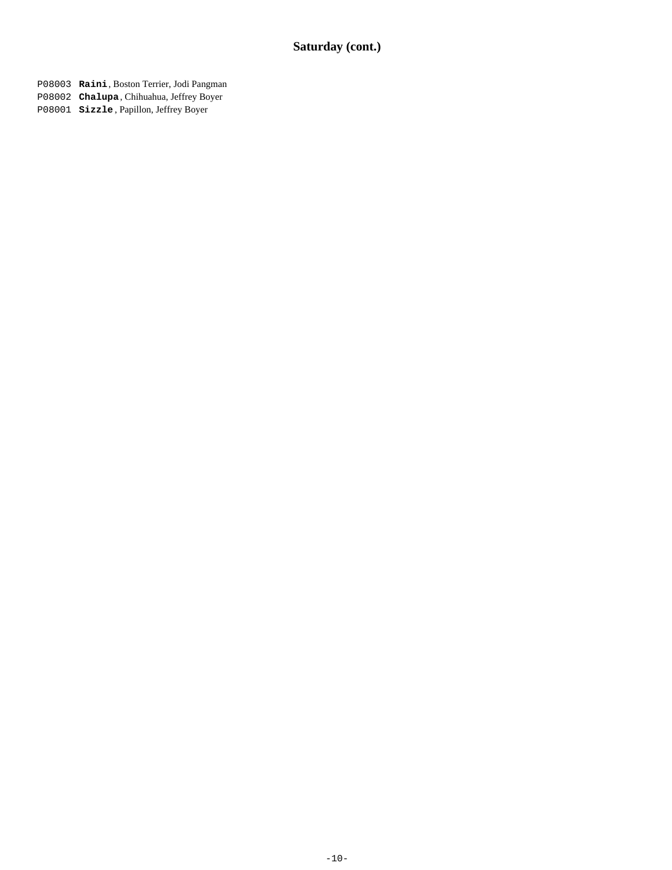P08003 **Raini**, Boston Terrier, Jodi Pangman

- P08002 **Chalupa**, Chihuahua, Jeffrey Boyer
- P08001 **Sizzle** , Papillon, Jeffrey Boyer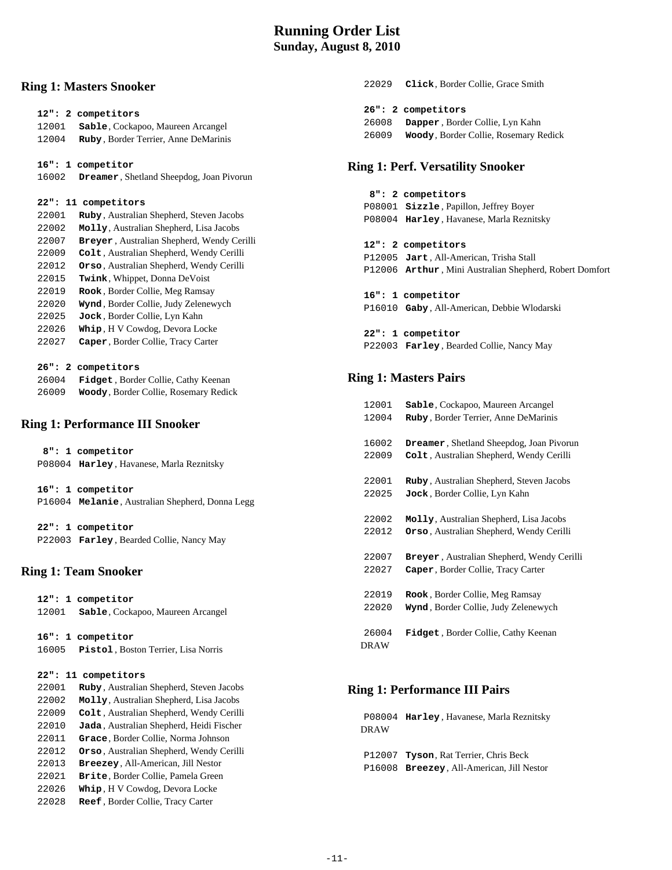# **Running Order List Sunday, August 8, 2010**

### **Ring 1: Masters Snooker**

| 12": 2 competitors<br>12001<br>12004 | Sable, Cockapoo, Maureen Arcangel<br>Ruby, Border Terrier, Anne DeMarinis<br><b>Dreamer</b> , Shetland Sheepdog, Joan Pivorun |
|--------------------------------------|-------------------------------------------------------------------------------------------------------------------------------|
|                                      |                                                                                                                               |
|                                      |                                                                                                                               |
|                                      |                                                                                                                               |
|                                      |                                                                                                                               |
| 16": 1 competitor                    |                                                                                                                               |
| 16002                                |                                                                                                                               |
|                                      |                                                                                                                               |
| 22": 11 competitors                  |                                                                                                                               |
| 22001                                | Ruby, Australian Shepherd, Steven Jacobs                                                                                      |
| 22002                                | Molly, Australian Shepherd, Lisa Jacobs                                                                                       |
| 22007                                | Breyer, Australian Shepherd, Wendy Cerilli                                                                                    |
| 22009                                | Colt, Australian Shepherd, Wendy Cerilli                                                                                      |
| 22012                                | Orso, Australian Shepherd, Wendy Cerilli                                                                                      |
| 22015                                | <b>Twink, Whippet, Donna DeVoist</b>                                                                                          |
| 22019                                | Rook, Border Collie, Meg Ramsay                                                                                               |
| 22020                                | Wynd, Border Collie, Judy Zelenewych                                                                                          |
| 22025                                | Jock, Border Collie, Lyn Kahn                                                                                                 |
| 22026                                | Whip, H V Cowdog, Devora Locke                                                                                                |
| 22027                                | Caper, Border Collie, Tracy Carter                                                                                            |
|                                      |                                                                                                                               |
| 26":<br>2 competitors                |                                                                                                                               |
| 26004                                | Fidget, Border Collie, Cathy Keenan                                                                                           |
| 26009                                | Woody, Border Collie, Rosemary Redick                                                                                         |

### **Ring 1: Performance III Snooker**

|  | 8": 1 competitor                                 |
|--|--------------------------------------------------|
|  | P08004 Harley, Havanese, Marla Reznitsky         |
|  |                                                  |
|  | 16": 1 competitor                                |
|  | P16004 Melanie, Australian Shepherd, Donna Legg  |
|  |                                                  |
|  | 22": 1 competitor                                |
|  | P22003 <b>Farley</b> , Bearded Collie, Nancy May |
|  |                                                  |
|  |                                                  |

### **Ring 1: Team Snooker**

|       | 12": 1 competitor                                |
|-------|--------------------------------------------------|
| 12001 | Sable, Cockapoo, Maureen Arcangel                |
|       |                                                  |
|       | 16": 1 competitor                                |
| 16005 | Pistol, Boston Terrier, Lisa Norris              |
|       |                                                  |
|       |                                                  |
|       | 22": 11 competitors                              |
| 22001 | Ruby, Australian Shepherd, Steven Jacobs         |
| 22002 | Molly, Australian Shepherd, Lisa Jacobs          |
| 22009 | Colt, Australian Shepherd, Wendy Cerilli         |
| 22010 | Jada, Australian Shepherd, Heidi Fischer         |
| 22011 | Grace, Border Collie, Norma Johnson              |
| 22012 | <b>Orso</b> , Australian Shepherd, Wendy Cerilli |
| 22013 | Breezey, All-American, Jill Nestor               |
| 22021 | <b>Brite, Border Collie, Pamela Green</b>        |
| 22026 | Whip, H V Cowdog, Devora Locke                   |

22028 **Reef** , Border Collie, Tracy Carter

| 22029 | Click. Border Collie. Grace Smith     |
|-------|---------------------------------------|
|       | 26": 2 competitors                    |
| 26008 | Dapper, Border Collie, Lyn Kahn       |
| 26009 | Woody, Border Collie, Rosemary Redick |

### **Ring 1: Perf. Versatility Snooker**

# **8": 2 competitors** P08001 **Sizzle** , Papillon, Jeffrey Boyer P08004 **Harley** , Havanese, Marla Reznitsky  **12": 2 competitors** P12005 **Jart** , All-American, Trisha Stall P12006 **Arthur** , Mini Australian Shepherd, Robert Domfort  **16": 1 competitor** P16010 **Gaby** , All-American, Debbie Wlodarski  **22": 1 competitor** P22003 **Farley** , Bearded Collie, Nancy May

### **Ring 1: Masters Pairs**

| 12001<br>12004 | Sable, Cockapoo, Maureen Arcangel<br>Ruby, Border Terrier, Anne DeMarinis |
|----------------|---------------------------------------------------------------------------|
| 16002          | <b>Dreamer, Shetland Sheepdog, Joan Pivorun</b>                           |
| 22009          | Colt, Australian Shepherd, Wendy Cerilli                                  |
| 22001          | Ruby, Australian Shepherd, Steven Jacobs                                  |
| 22025          | Jock, Border Collie, Lyn Kahn                                             |
| 22002          | Molly, Australian Shepherd, Lisa Jacobs                                   |
| 22012          | Orso, Australian Shepherd, Wendy Cerilli                                  |
| 22007          | Breyer, Australian Shepherd, Wendy Cerilli                                |
| 22027          | Caper, Border Collie, Tracy Carter                                        |
| 22019          | Rook, Border Collie, Meg Ramsay                                           |
| 22020          | Wynd, Border Collie, Judy Zelenewych                                      |
| 26004<br>DRAW  | <b>Fidget</b> , Border Collie, Cathy Keenan                               |

### **Ring 1: Performance III Pairs**

 P08004 **Harley** , Havanese, Marla Reznitsky DRAW

 P12007 **Tyson**, Rat Terrier, Chris Beck P16008 **Breezey**, All-American, Jill Nestor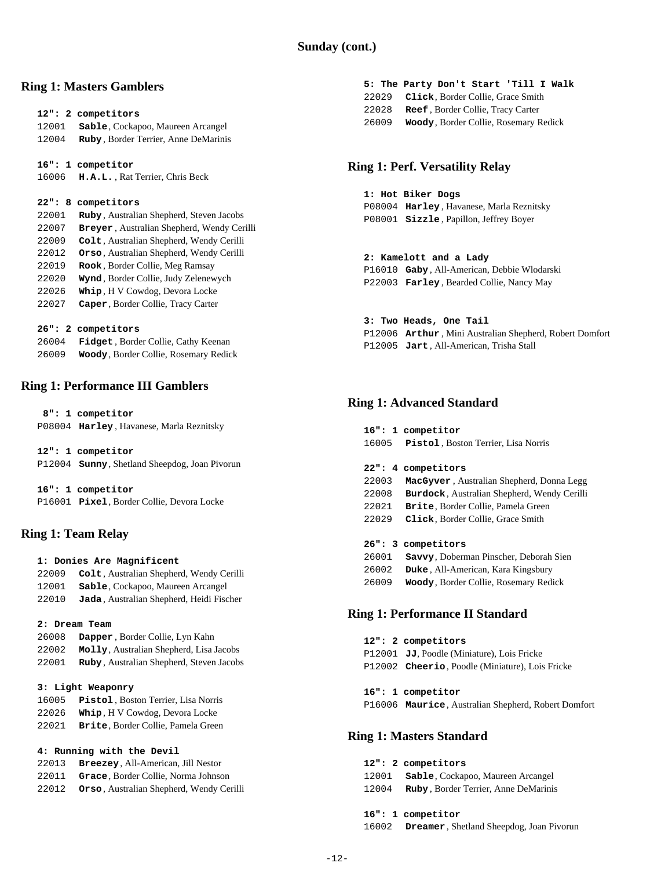### **Ring 1: Masters Gamblers**

 **12": 2 competitors**

- 12001 **Sable**, Cockapoo, Maureen Arcangel
- 12004 **Ruby** , Border Terrier, Anne DeMarinis

 **16": 1 competitor**

```
 16006 H.A.L. , Rat Terrier, Chris Beck
```
#### **22": 8 competitors**

- 22001 **Ruby** , Australian Shepherd, Steven Jacobs 22007 **Breyer** , Australian Shepherd, Wendy Cerilli 22009 **Colt** , Australian Shepherd, Wendy Cerilli 22012 **Orso** , Australian Shepherd, Wendy Cerilli 22019 **Rook** , Border Collie, Meg Ramsay 22020 **Wynd** , Border Collie, Judy Zelenewych 22026 **Whip** , H V Cowdog, Devora Locke 22027 **Caper**, Border Collie, Tracy Carter  **26": 2 competitors**
- 26004 **Fidget** , Border Collie, Cathy Keenan 26009 **Woody**, Border Collie, Rosemary Redick

## **Ring 1: Performance III Gamblers**

 **8": 1 competitor** P08004 **Harley** , Havanese, Marla Reznitsky

| 12": 1 competitor                                    |
|------------------------------------------------------|
| P12004 <b>Sunny, Shetland Sheepdog, Joan Pivorun</b> |

 **16": 1 competitor** P16001 **Pixel**, Border Collie, Devora Locke

### **Ring 1: Team Relay**

 **1: Donies Are Magnificent Colt** , Australian Shepherd, Wendy Cerilli **Sable**, Cockapoo, Maureen Arcangel **Jada** , Australian Shepherd, Heidi Fischer

#### **2: Dream Team**

 26008 **Dapper** , Border Collie, Lyn Kahn 22002 **Molly**, Australian Shepherd, Lisa Jacobs 22001 **Ruby** , Australian Shepherd, Steven Jacobs

### **3: Light Weaponry**

| 16005 | Pistol. Boston Terrier. Lisa Norris       |
|-------|-------------------------------------------|
| 22026 | Whip, H V Cowdog, Devora Locke            |
| 22021 | <b>Brite.</b> Border Collie. Pamela Green |

 **4: Running with the Devil**

- 22013 **Breezey**, All-American, Jill Nestor 22011 **Grace**, Border Collie, Norma Johnson
- 22012 **Orso** , Australian Shepherd, Wendy Cerilli
- **5: The Party Don't Start 'Till I Walk** 22029 **Click**, Border Collie, Grace Smith
- 22028 **Reef** , Border Collie, Tracy Carter
- 26009 **Woody**, Border Collie, Rosemary Redick

# **Ring 1: Perf. Versatility Relay**

### **1: Hot Biker Dogs**

 P08004 **Harley** , Havanese, Marla Reznitsky P08001 **Sizzle** , Papillon, Jeffrey Boyer

### **2: Kamelott and a Lady**

 P16010 **Gaby** , All-American, Debbie Wlodarski P22003 **Farley** , Bearded Collie, Nancy May

### **3: Two Heads, One Tail**

 P12006 **Arthur** , Mini Australian Shepherd, Robert Domfort P12005 **Jart** , All-American, Trisha Stall

### **Ring 1: Advanced Standard**

- **16": 1 competitor** 16005 **Pistol** , Boston Terrier, Lisa Norris
- **22": 4 competitors**
- 22003 **MacGyver** , Australian Shepherd, Donna Legg
- 22008 **Burdock**, Australian Shepherd, Wendy Cerilli
- 22021 **Brite**, Border Collie, Pamela Green
- 22029 **Click**, Border Collie, Grace Smith

### **26": 3 competitors**

 26001 **Savvy**, Doberman Pinscher, Deborah Sien 26002 **Duke** , All-American, Kara Kingsbury 26009 **Woody**, Border Collie, Rosemary Redick

### **Ring 1: Performance II Standard**

 **12": 2 competitors** P12001 **JJ**, Poodle (Miniature), Lois Fricke P12002 **Cheerio**, Poodle (Miniature), Lois Fricke

 **16": 1 competitor** P16006 **Maurice**, Australian Shepherd, Robert Domfort

### **Ring 1: Masters Standard**

|       | 12": 2 competitors                             |
|-------|------------------------------------------------|
| 12001 | <b>Sable</b> , Cockapoo, Maureen Arcangel      |
| 12004 | Ruby, Border Terrier, Anne DeMarinis           |
|       |                                                |
|       | 16": 1 competitor                              |
|       | 16002 Dreamer, Shetland Sheepdog, Joan Pivorun |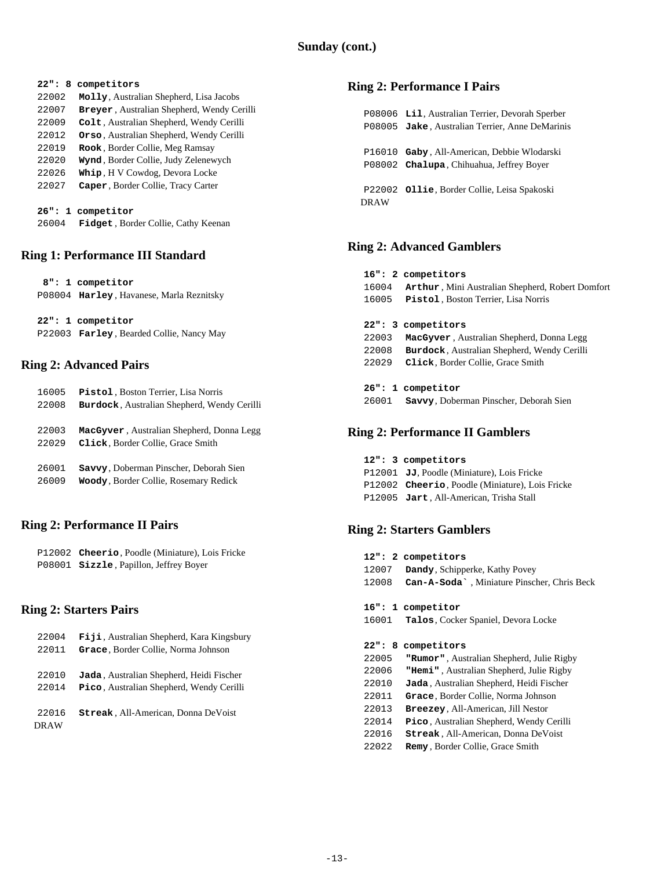| 22":<br>8 | competitors                                        |
|-----------|----------------------------------------------------|
| 22002     | Molly, Australian Shepherd, Lisa Jacobs            |
| 22007     | <b>Breyer</b> , Australian Shepherd, Wendy Cerilli |
| 22009     | Colt, Australian Shepherd, Wendy Cerilli           |
| 22012     | Orso, Australian Shepherd, Wendy Cerilli           |
| 22019     | Rook, Border Collie, Meg Ramsay                    |
| 22020     | Wynd, Border Collie, Judy Zelenewych               |
| 22026     | Whip, H V Cowdog, Devora Locke                     |
| 22027     | Caper, Border Collie, Tracy Carter                 |
|           |                                                    |
|           | 26": 1 competitor                                  |
| 26004     | <b>Fidget</b> , Border Collie, Cathy Keenan        |

### **Ring 1: Performance III Standard**

| 8": 1 competitor                                 |
|--------------------------------------------------|
| P08004 Harley, Havanese, Marla Reznitsky         |
|                                                  |
| 22": 1 competitor                                |
| P22003 <b>Farley</b> , Bearded Collie, Nancy May |

### **Ring 2: Advanced Pairs**

| 16005 | Pistol, Boston Terrier, Lisa Norris         |
|-------|---------------------------------------------|
| 22008 | Burdock, Australian Shepherd, Wendy Cerilli |
|       |                                             |
| 22003 | MacGyver, Australian Shepherd, Donna Legg   |
| 22029 | Click, Border Collie, Grace Smith           |
|       |                                             |
| 26001 | Savvy, Doberman Pinscher, Deborah Sien      |
| 26009 | Woody, Border Collie, Rosemary Redick       |
|       |                                             |

### **Ring 2: Performance II Pairs**

 P12002 **Cheerio**, Poodle (Miniature), Lois Fricke P08001 **Sizzle** , Papillon, Jeffrey Boyer

### **Ring 2: Starters Pairs**

| 22004       | Fiji, Australian Shepherd, Kara Kingsbury       |
|-------------|-------------------------------------------------|
| 22011       | Grace, Border Collie, Norma Johnson             |
|             |                                                 |
| 22010       | Jada, Australian Shepherd, Heidi Fischer        |
| 22014       | <b>Pico, Australian Shepherd, Wendy Cerilli</b> |
|             |                                                 |
| 22016       | Streak, All-American, Donna DeVoist             |
| <b>DRAW</b> |                                                 |

### **Ring 2: Performance I Pairs**

 P08006 **Lil**, Australian Terrier, Devorah Sperber P08005 **Jake** , Australian Terrier, Anne DeMarinis P16010 **Gaby** , All-American, Debbie Wlodarski P08002 **Chalupa**, Chihuahua, Jeffrey Boyer P22002 **Ollie**, Border Collie, Leisa Spakoski DRAW

### **Ring 2: Advanced Gamblers**

|       | 16": 2 competitors                                      |
|-------|---------------------------------------------------------|
| 16004 | <b>Arthur, Mini Australian Shepherd, Robert Domfort</b> |
| 16005 | <b>Pistol</b> , Boston Terrier, Lisa Norris             |
|       |                                                         |
|       | 22": 3 competitors                                      |
| 22003 | MacGyver, Australian Shepherd, Donna Legg               |
| 22008 | Burdock, Australian Shepherd, Wendy Cerilli             |
| 22029 | Click, Border Collie, Grace Smith                       |
|       |                                                         |
|       | 26": 1 competitor                                       |
| 26001 | <b>Savvy, Doberman Pinscher, Deborah Sien</b>           |
|       |                                                         |

### **Ring 2: Performance II Gamblers**

 **12": 3 competitors** P12001 **JJ**, Poodle (Miniature), Lois Fricke P12002 **Cheerio**, Poodle (Miniature), Lois Fricke P12005 **Jart** , All-American, Trisha Stall

### **Ring 2: Starters Gamblers**

|       | 12": 2 competitors                                       |
|-------|----------------------------------------------------------|
| 12007 | Dandy, Schipperke, Kathy Povey                           |
| 12008 | Can-A-Soda <sup>*</sup> , Miniature Pinscher, Chris Beck |
|       |                                                          |
|       | 16": 1 competitor                                        |
| 16001 | Talos, Cocker Spaniel, Devora Locke                      |
|       |                                                          |
|       | 22": 8 competitors                                       |
| 22005 | "Rumor", Australian Shepherd, Julie Rigby                |
| 22006 | "Hemi", Australian Shepherd, Julie Rigby                 |
| 22010 | Jada, Australian Shepherd, Heidi Fischer                 |
| 22011 | Grace, Border Collie, Norma Johnson                      |
| 22013 | <b>Breezey, All-American, Jill Nestor</b>                |
| 22014 | Pico, Australian Shepherd, Wendy Cerilli                 |
| 22016 | Streak, All-American, Donna DeVoist                      |
| 22022 | <b>Remy</b> , Border Collie, Grace Smith                 |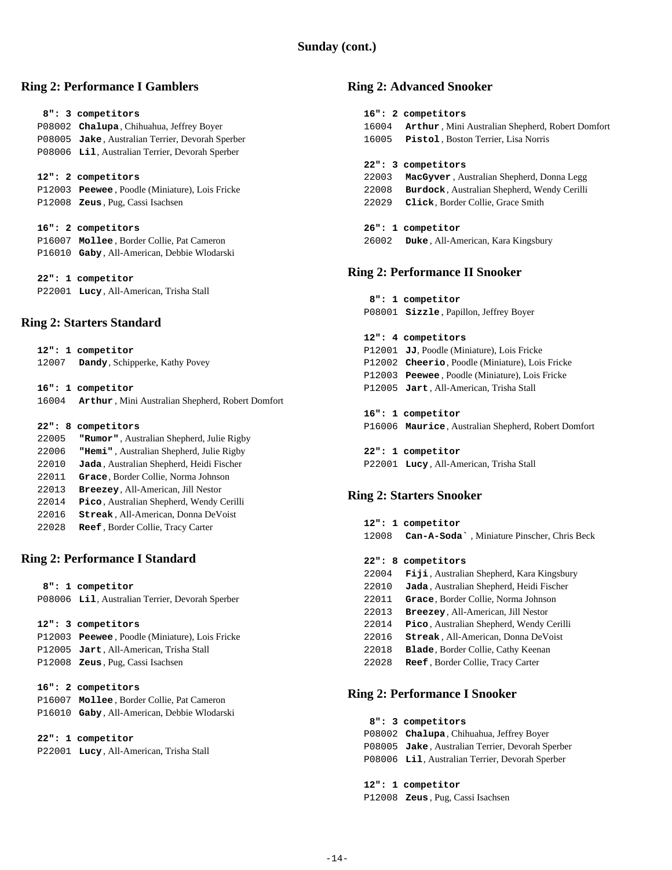### **Sunday (cont.)**

### **Ring 2: Performance I Gamblers**

# **8": 3 competitors** P08002 **Chalupa**, Chihuahua, Jeffrey Boyer P08005 **Jake** , Australian Terrier, Devorah Sperber P08006 **Lil**, Australian Terrier, Devorah Sperber  **12": 2 competitors** P12003 **Peewee** , Poodle (Miniature), Lois Fricke P12008 **Zeus** , Pug, Cassi Isachsen  **16": 2 competitors** P16007 **Mollee** , Border Collie, Pat Cameron P16010 **Gaby** , All-American, Debbie Wlodarski  **22": 1 competitor** P22001 **Lucy** , All-American, Trisha Stall

### **Ring 2: Starters Standard**

| 12007 | 12": 1 competitor<br>Dandy, Schipperke, Kathy Povey                          |
|-------|------------------------------------------------------------------------------|
| 16004 | 16": 1 competitor<br><b>Arthur, Mini Australian Shepherd, Robert Domfort</b> |
|       | 22": 8 competitors                                                           |
| 22005 | <b>"Rumor"</b> , Australian Shepherd, Julie Rigby                            |
| 22006 | "Hemi", Australian Shepherd, Julie Rigby                                     |
| 22010 | Jada, Australian Shepherd, Heidi Fischer                                     |
| 22011 | Grace, Border Collie, Norma Johnson                                          |
| 22013 | <b>Breezey, All-American, Jill Nestor</b>                                    |
| 22014 | <b>Pico</b> , Australian Shepherd, Wendy Cerilli                             |
| 22016 | <b>Streak, All-American, Donna DeVoist</b>                                   |

22028 **Reef** , Border Collie, Tracy Carter

### **Ring 2: Performance I Standard**

 **8": 1 competitor**

P08006 **Lil**, Australian Terrier, Devorah Sperber

#### **12": 3 competitors**

 P12003 **Peewee** , Poodle (Miniature), Lois Fricke P12005 **Jart** , All-American, Trisha Stall P12008 **Zeus** , Pug, Cassi Isachsen

| 16": 2 competitors                        |
|-------------------------------------------|
| P16007 Mollee, Border Collie, Pat Cameron |

P16010 **Gaby** , All-American, Debbie Wlodarski

#### **22": 1 competitor**

P22001 **Lucy** , All-American, Trisha Stall

#### **Ring 2: Advanced Snooker**

|       | 16": 2 competitors                                      |  |
|-------|---------------------------------------------------------|--|
| 16004 | <b>Arthur, Mini Australian Shepherd, Robert Domfort</b> |  |
| 16005 | Pistol, Boston Terrier, Lisa Norris                     |  |
|       |                                                         |  |
|       | 22": 3 competitors                                      |  |
| 22003 | <b>MacGyver</b> , Australian Shepherd, Donna Legg       |  |
| 22008 | <b>Burdock, Australian Shepherd, Wendy Cerilli</b>      |  |
| 22029 | Click, Border Collie, Grace Smith                       |  |
|       |                                                         |  |
|       | 26": 1 competitor                                       |  |
| 26002 | Duke, All-American, Kara Kingsbury                      |  |
|       |                                                         |  |
|       | ing 2: Performance II Snooker                           |  |
|       |                                                         |  |

#### **Ring 2: Performance II Snooker**

```
 8": 1 competitor
P08001 Sizzle , Papillon, Jeffrey Boyer
```
#### **12": 4 competitors**

- P12001 **JJ**, Poodle (Miniature), Lois Fricke P12002 **Cheerio**, Poodle (Miniature), Lois Fricke P12003 **Peewee** , Poodle (Miniature), Lois Fricke P12005 **Jart** , All-American, Trisha Stall  **16": 1 competitor**
- P16006 **Maurice**, Australian Shepherd, Robert Domfort
- **22": 1 competitor** P22001 **Lucy** , All-American, Trisha Stall

### **Ring 2: Starters Snooker**

 **12": 1 competitor** 12008 **Can-A-Soda`** , Miniature Pinscher, Chris Beck

#### **22": 8 competitors**

**Fiji** , Australian Shepherd, Kara Kingsbury **Jada** , Australian Shepherd, Heidi Fischer **Grace**, Border Collie, Norma Johnson **Breezey**, All-American, Jill Nestor **Pico** , Australian Shepherd, Wendy Cerilli **Streak** , All-American, Donna DeVoist **Blade**, Border Collie, Cathy Keenan **Reef** , Border Collie, Tracy Carter

### **Ring 2: Performance I Snooker**

| 8": 3 competitors                                |
|--------------------------------------------------|
|                                                  |
| P08002 Chalupa, Chihuahua, Jeffrey Boyer         |
| P08005 Jake, Australian Terrier, Devorah Sperber |
| P08006 Lil, Australian Terrier, Devorah Sperber  |
|                                                  |
| 12": 1 competitor                                |

P12008 **Zeus** , Pug, Cassi Isachsen